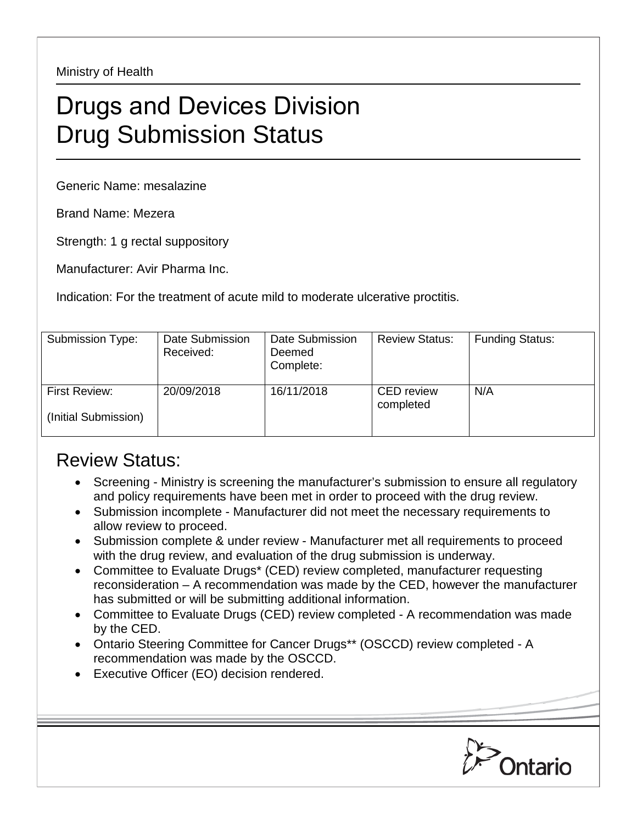Ministry of Health

## Drugs and Devices Division Drug Submission Status

Generic Name: mesalazine

Brand Name: Mezera

Strength: 1 g rectal suppository

Manufacturer: Avir Pharma Inc.

Indication: For the treatment of acute mild to moderate ulcerative proctitis.

| Submission Type:                             | Date Submission<br>Received: | Date Submission<br>Deemed<br>Complete: | <b>Review Status:</b>          | <b>Funding Status:</b> |
|----------------------------------------------|------------------------------|----------------------------------------|--------------------------------|------------------------|
| <b>First Review:</b><br>(Initial Submission) | 20/09/2018                   | 16/11/2018                             | <b>CED</b> review<br>completed | N/A                    |

## Review Status:

- Screening Ministry is screening the manufacturer's submission to ensure all regulatory and policy requirements have been met in order to proceed with the drug review.
- Submission incomplete Manufacturer did not meet the necessary requirements to allow review to proceed.
- Submission complete & under review Manufacturer met all requirements to proceed with the drug review, and evaluation of the drug submission is underway.
- Committee to Evaluate Drugs\* (CED) review completed, manufacturer requesting reconsideration – A recommendation was made by the CED, however the manufacturer has submitted or will be submitting additional information.
- Committee to Evaluate Drugs (CED) review completed A recommendation was made by the CED.
- Ontario Steering Committee for Cancer Drugs\*\* (OSCCD) review completed A recommendation was made by the OSCCD.
- Executive Officer (EO) decision rendered.